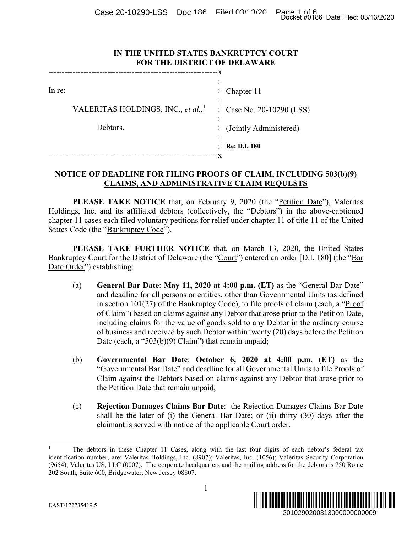Case 20-10290-LSS Doc 186 Filed 03/13/20 Page 1 of 6<br>Docket #0186 Date Filed: 03/13/2020

### **IN THE UNITED STATES BANKRUPTCY COURT FOR THE DISTRICT OF DELAWARE**

| - X    |                                                |  |                           |
|--------|------------------------------------------------|--|---------------------------|
|        |                                                |  |                           |
| In re: |                                                |  | : Chapter $11$            |
|        | VALERITAS HOLDINGS, INC., et al., <sup>1</sup> |  | : Case No. 20-10290 (LSS) |
|        | Debtors.                                       |  | : (Jointly Administered)  |
|        |                                                |  | <b>Re: D.I. 180</b>       |
|        |                                                |  |                           |

# **NOTICE OF DEADLINE FOR FILING PROOFS OF CLAIM, INCLUDING 503(b)(9) CLAIMS, AND ADMINISTRATIVE CLAIM REQUESTS**

**PLEASE TAKE NOTICE** that, on February 9, 2020 (the "Petition Date"), Valeritas Holdings, Inc. and its affiliated debtors (collectively, the "Debtors") in the above-captioned chapter 11 cases each filed voluntary petitions for relief under chapter 11 of title 11 of the United States Code (the "Bankruptcy Code").

**PLEASE TAKE FURTHER NOTICE** that, on March 13, 2020, the United States Bankruptcy Court for the District of Delaware (the "Court") entered an order [D.I. 180] (the "Bar Date Order") establishing:

- (a) **General Bar Date**: **May 11, 2020 at 4:00 p.m. (ET)** as the "General Bar Date" and deadline for all persons or entities, other than Governmental Units (as defined in section 101(27) of the Bankruptcy Code), to file proofs of claim (each, a "Proof of Claim") based on claims against any Debtor that arose prior to the Petition Date, including claims for the value of goods sold to any Debtor in the ordinary course of business and received by such Debtor within twenty (20) days before the Petition Date (each, a "503(b)(9) Claim") that remain unpaid; Docket #0186 Date Filed: 03/13/2020<br>
2010 (LSS)<br>
2010 (LSS)<br>
2010 (LSS)<br>
2010 (LSS)<br>
2010 (LSS)<br>
2020 (LESTS<br>
2020, the United States<br>
2020, the United States<br>
2020, the United States<br>
2020, the United States<br>
2020, the U
- (b) **Governmental Bar Date**: **October 6, 2020 at 4:00 p.m. (ET)** as the "Governmental Bar Date" and deadline for all Governmental Units to file Proofs of Claim against the Debtors based on claims against any Debtor that arose prior to the Petition Date that remain unpaid;
- (c) **Rejection Damages Claims Bar Date**: the Rejection Damages Claims Bar Date shall be the later of (i) the General Bar Date; or (ii) thirty (30) days after the claimant is served with notice of the applicable Court order.

 $\overline{a}$ 1 The debtors in these Chapter 11 Cases, along with the last four digits of each debtor's federal tax identification number, are: Valeritas Holdings, Inc. (8907); Valeritas, Inc. (1056); Valeritas Security Corporation (9654); Valeritas US, LLC (0007). The corporate headquarters and the mailing address for the debtors is 750 Route 202 South, Suite 600, Bridgewater, New Jersey 08807.

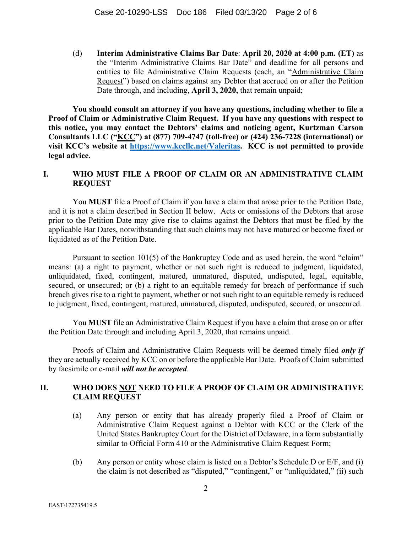(d) **Interim Administrative Claims Bar Date**: **April 20, 2020 at 4:00 p.m. (ET)** as the "Interim Administrative Claims Bar Date" and deadline for all persons and entities to file Administrative Claim Requests (each, an "Administrative Claim Request") based on claims against any Debtor that accrued on or after the Petition Date through, and including, **April 3, 2020,** that remain unpaid;

**You should consult an attorney if you have any questions, including whether to file a Proof of Claim or Administrative Claim Request. If you have any questions with respect to this notice, you may contact the Debtors' claims and noticing agent, Kurtzman Carson Consultants LLC ("KCC") at (877) 709-4747 (toll-free) or (424) 236-7228 (international) or visit KCC's website at https://www.kccllc.net/Valeritas. KCC is not permitted to provide legal advice.** 

### **I. WHO MUST FILE A PROOF OF CLAIM OR AN ADMINISTRATIVE CLAIM REQUEST**

You **MUST** file a Proof of Claim if you have a claim that arose prior to the Petition Date, and it is not a claim described in Section II below. Acts or omissions of the Debtors that arose prior to the Petition Date may give rise to claims against the Debtors that must be filed by the applicable Bar Dates, notwithstanding that such claims may not have matured or become fixed or liquidated as of the Petition Date.

Pursuant to section  $101(5)$  of the Bankruptcy Code and as used herein, the word "claim" means: (a) a right to payment, whether or not such right is reduced to judgment, liquidated, unliquidated, fixed, contingent, matured, unmatured, disputed, undisputed, legal, equitable, secured, or unsecured; or (b) a right to an equitable remedy for breach of performance if such breach gives rise to a right to payment, whether or not such right to an equitable remedy is reduced to judgment, fixed, contingent, matured, unmatured, disputed, undisputed, secured, or unsecured.

You **MUST** file an Administrative Claim Request if you have a claim that arose on or after the Petition Date through and including April 3, 2020, that remains unpaid.

Proofs of Claim and Administrative Claim Requests will be deemed timely filed *only if* they are actually received by KCC on or before the applicable Bar Date. Proofs of Claim submitted by facsimile or e-mail *will not be accepted*.

### **II. WHO DOES NOT NEED TO FILE A PROOF OF CLAIM OR ADMINISTRATIVE CLAIM REQUEST**

- (a) Any person or entity that has already properly filed a Proof of Claim or Administrative Claim Request against a Debtor with KCC or the Clerk of the United States Bankruptcy Court for the District of Delaware, in a form substantially similar to Official Form 410 or the Administrative Claim Request Form;
- (b) Any person or entity whose claim is listed on a Debtor's Schedule D or E/F, and (i) the claim is not described as "disputed," "contingent," or "unliquidated," (ii) such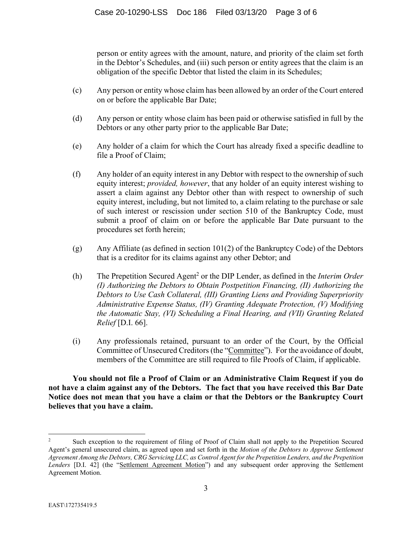person or entity agrees with the amount, nature, and priority of the claim set forth in the Debtor's Schedules, and (iii) such person or entity agrees that the claim is an obligation of the specific Debtor that listed the claim in its Schedules;

- (c) Any person or entity whose claim has been allowed by an order of the Court entered on or before the applicable Bar Date;
- (d) Any person or entity whose claim has been paid or otherwise satisfied in full by the Debtors or any other party prior to the applicable Bar Date;
- (e) Any holder of a claim for which the Court has already fixed a specific deadline to file a Proof of Claim;
- (f) Any holder of an equity interest in any Debtor with respect to the ownership of such equity interest; *provided, however*, that any holder of an equity interest wishing to assert a claim against any Debtor other than with respect to ownership of such equity interest, including, but not limited to, a claim relating to the purchase or sale of such interest or rescission under section 510 of the Bankruptcy Code, must submit a proof of claim on or before the applicable Bar Date pursuant to the procedures set forth herein;
- (g) Any Affiliate (as defined in section  $101(2)$  of the Bankruptcy Code) of the Debtors that is a creditor for its claims against any other Debtor; and
- (h) The Prepetition Secured Agent<sup>2</sup> or the DIP Lender, as defined in the *Interim Order (I) Authorizing the Debtors to Obtain Postpetition Financing, (II) Authorizing the Debtors to Use Cash Collateral, (III) Granting Liens and Providing Superpriority Administrative Expense Status, (IV) Granting Adequate Protection, (V) Modifying the Automatic Stay, (VI) Scheduling a Final Hearing, and (VII) Granting Related Relief* [D.I. 66].
- (i) Any professionals retained, pursuant to an order of the Court, by the Official Committee of Unsecured Creditors (the "Committee"). For the avoidance of doubt, members of the Committee are still required to file Proofs of Claim, if applicable.

**You should not file a Proof of Claim or an Administrative Claim Request if you do not have a claim against any of the Debtors. The fact that you have received this Bar Date Notice does not mean that you have a claim or that the Debtors or the Bankruptcy Court believes that you have a claim.** 

 $\overline{a}$ 

<sup>2</sup> Such exception to the requirement of filing of Proof of Claim shall not apply to the Prepetition Secured Agent's general unsecured claim, as agreed upon and set forth in the *Motion of the Debtors to Approve Settlement Agreement Among the Debtors, CRG Servicing LLC, as Control Agent for the Prepetition Lenders, and the Prepetition Lenders* [D.I. 42] (the "Settlement Agreement Motion") and any subsequent order approving the Settlement Agreement Motion.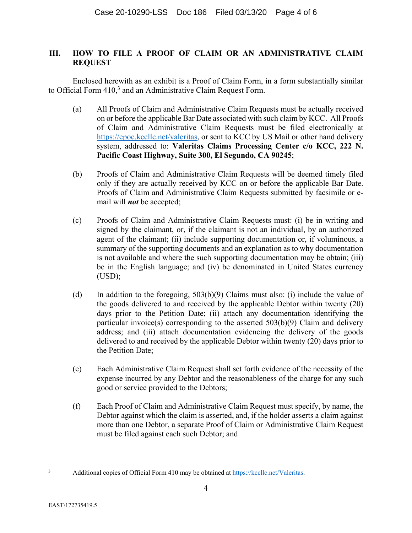# **III. HOW TO FILE A PROOF OF CLAIM OR AN ADMINISTRATIVE CLAIM REQUEST**

Enclosed herewith as an exhibit is a Proof of Claim Form, in a form substantially similar to Official Form  $410<sup>3</sup>$  and an Administrative Claim Request Form.

- (a) All Proofs of Claim and Administrative Claim Requests must be actually received on or before the applicable Bar Date associated with such claim by KCC. All Proofs of Claim and Administrative Claim Requests must be filed electronically at https://epoc.kccllc.net/valeritas, or sent to KCC by US Mail or other hand delivery system, addressed to: **Valeritas Claims Processing Center c/o KCC, 222 N. Pacific Coast Highway, Suite 300, El Segundo, CA 90245**;
- (b) Proofs of Claim and Administrative Claim Requests will be deemed timely filed only if they are actually received by KCC on or before the applicable Bar Date. Proofs of Claim and Administrative Claim Requests submitted by facsimile or email will *not* be accepted;
- (c) Proofs of Claim and Administrative Claim Requests must: (i) be in writing and signed by the claimant, or, if the claimant is not an individual, by an authorized agent of the claimant; (ii) include supporting documentation or, if voluminous, a summary of the supporting documents and an explanation as to why documentation is not available and where the such supporting documentation may be obtain; (iii) be in the English language; and (iv) be denominated in United States currency (USD);
- (d) In addition to the foregoing, 503(b)(9) Claims must also: (i) include the value of the goods delivered to and received by the applicable Debtor within twenty (20) days prior to the Petition Date; (ii) attach any documentation identifying the particular invoice(s) corresponding to the asserted 503(b)(9) Claim and delivery address; and (iii) attach documentation evidencing the delivery of the goods delivered to and received by the applicable Debtor within twenty (20) days prior to the Petition Date;
- (e) Each Administrative Claim Request shall set forth evidence of the necessity of the expense incurred by any Debtor and the reasonableness of the charge for any such good or service provided to the Debtors;
- (f) Each Proof of Claim and Administrative Claim Request must specify, by name, the Debtor against which the claim is asserted, and, if the holder asserts a claim against more than one Debtor, a separate Proof of Claim or Administrative Claim Request must be filed against each such Debtor; and

4

<sup>2</sup><br>3

Additional copies of Official Form 410 may be obtained at https://kccllc.net/Valeritas.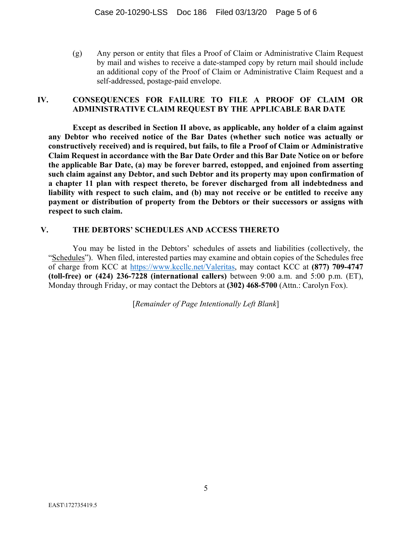(g) Any person or entity that files a Proof of Claim or Administrative Claim Request by mail and wishes to receive a date-stamped copy by return mail should include an additional copy of the Proof of Claim or Administrative Claim Request and a self-addressed, postage-paid envelope.

### **IV. CONSEQUENCES FOR FAILURE TO FILE A PROOF OF CLAIM OR ADMINISTRATIVE CLAIM REQUEST BY THE APPLICABLE BAR DATE**

**Except as described in Section II above, as applicable, any holder of a claim against any Debtor who received notice of the Bar Dates (whether such notice was actually or constructively received) and is required, but fails, to file a Proof of Claim or Administrative Claim Request in accordance with the Bar Date Order and this Bar Date Notice on or before the applicable Bar Date, (a) may be forever barred, estopped, and enjoined from asserting such claim against any Debtor, and such Debtor and its property may upon confirmation of a chapter 11 plan with respect thereto, be forever discharged from all indebtedness and liability with respect to such claim, and (b) may not receive or be entitled to receive any payment or distribution of property from the Debtors or their successors or assigns with respect to such claim.** 

### **V. THE DEBTORS' SCHEDULES AND ACCESS THERETO**

You may be listed in the Debtors' schedules of assets and liabilities (collectively, the "Schedules"). When filed, interested parties may examine and obtain copies of the Schedules free of charge from KCC at https://www.kccllc.net/Valeritas, may contact KCC at **(877) 709-4747 (toll-free) or (424) 236-7228 (international callers)** between 9:00 a.m. and 5:00 p.m. (ET), Monday through Friday, or may contact the Debtors at **(302) 468-5700** (Attn.: Carolyn Fox).

[*Remainder of Page Intentionally Left Blank*]